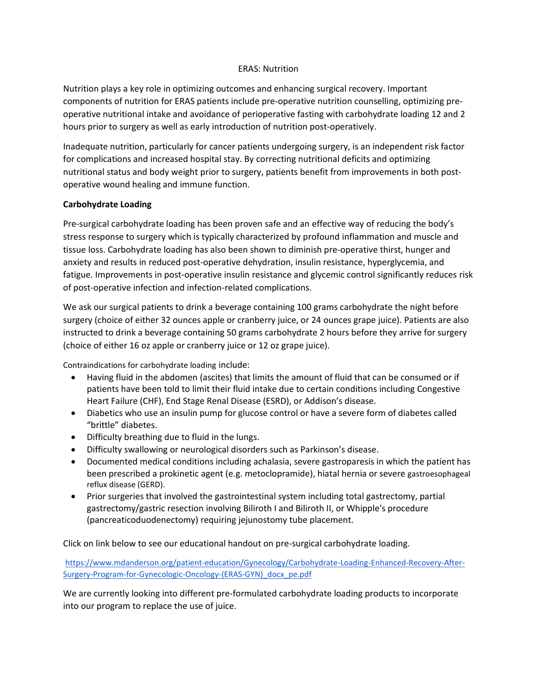## ERAS: Nutrition

Nutrition plays a key role in optimizing outcomes and enhancing surgical recovery. Important components of nutrition for ERAS patients include pre-operative nutrition counselling, optimizing preoperative nutritional intake and avoidance of perioperative fasting with carbohydrate loading 12 and 2 hours prior to surgery as well as early introduction of nutrition post-operatively.

Inadequate nutrition, particularly for cancer patients undergoing surgery, is an independent risk factor for complications and increased hospital stay. By correcting nutritional deficits and optimizing nutritional status and body weight prior to surgery, patients benefit from improvements in both postoperative wound healing and immune function.

## **Carbohydrate Loading**

Pre-surgical carbohydrate loading has been proven safe and an effective way of reducing the body's stress response to surgery which is typically characterized by profound inflammation and muscle and tissue loss. Carbohydrate loading has also been shown to diminish pre-operative thirst, hunger and anxiety and results in reduced post-operative dehydration, insulin resistance, hyperglycemia, and fatigue. Improvements in post-operative insulin resistance and glycemic control significantly reduces risk of post-operative infection and infection-related complications.

We ask our surgical patients to drink a beverage containing 100 grams carbohydrate the night before surgery (choice of either 32 ounces apple or cranberry juice, or 24 ounces grape juice). Patients are also instructed to drink a beverage containing 50 grams carbohydrate 2 hours before they arrive for surgery (choice of either 16 oz apple or cranberry juice or 12 oz grape juice).

Contraindications for carbohydrate loading include:

- Having fluid in the abdomen (ascites) that limits the amount of fluid that can be consumed or if patients have been told to limit their fluid intake due to certain conditions including Congestive Heart Failure (CHF), End Stage Renal Disease (ESRD), or Addison's disease.
- Diabetics who use an insulin pump for glucose control or have a severe form of diabetes called "brittle" diabetes.
- Difficulty breathing due to fluid in the lungs.
- Difficulty swallowing or neurological disorders such as Parkinson's disease.
- Documented medical conditions including achalasia, severe gastroparesis in which the patient has been prescribed a prokinetic agent (e.g. metoclopramide), hiatal hernia or severe gastroesophageal reflux disease (GERD).
- Prior surgeries that involved the gastrointestinal system including total gastrectomy, partial gastrectomy/gastric resection involving Biliroth I and Biliroth II, or Whipple's procedure (pancreaticoduodenectomy) requiring jejunostomy tube placement.

Click on link below to see our educational handout on pre-surgical carbohydrate loading.

[https://www.mdanderson.org/patient-education/Gynecology/Carbohydrate-Loading-Enhanced-Recovery-After-](https://www.mdanderson.org/patient-education/Gynecology/Carbohydrate-Loading-Enhanced-Recovery-After-Surgery-Program-for-Gynecologic-Oncology-(ERAS-GYN)_docx_pe.pdf)[Surgery-Program-for-Gynecologic-Oncology-\(ERAS-GYN\)\\_docx\\_pe.pdf](https://www.mdanderson.org/patient-education/Gynecology/Carbohydrate-Loading-Enhanced-Recovery-After-Surgery-Program-for-Gynecologic-Oncology-(ERAS-GYN)_docx_pe.pdf)

We are currently looking into different pre-formulated carbohydrate loading products to incorporate into our program to replace the use of juice.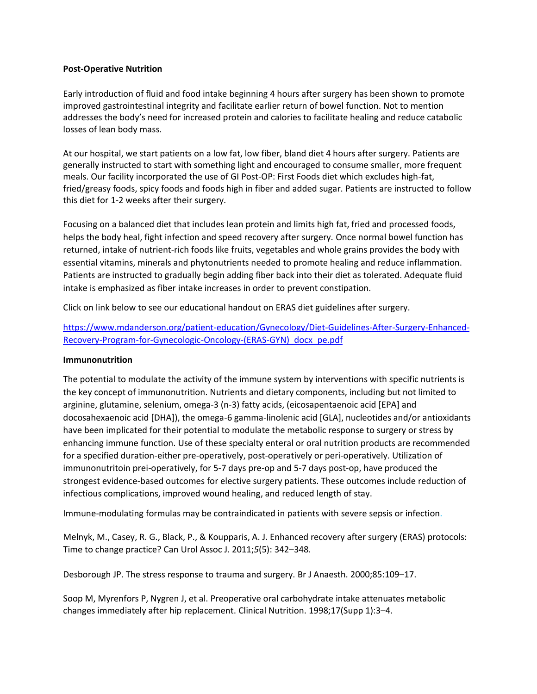## **Post-Operative Nutrition**

Early introduction of fluid and food intake beginning 4 hours after surgery has been shown to promote improved gastrointestinal integrity and facilitate earlier return of bowel function. Not to mention addresses the body's need for increased protein and calories to facilitate healing and reduce catabolic losses of lean body mass.

At our hospital, we start patients on a low fat, low fiber, bland diet 4 hours after surgery. Patients are generally instructed to start with something light and encouraged to consume smaller, more frequent meals. Our facility incorporated the use of GI Post-OP: First Foods diet which excludes high-fat, fried/greasy foods, spicy foods and foods high in fiber and added sugar. Patients are instructed to follow this diet for 1-2 weeks after their surgery.

Focusing on a balanced diet that includes lean protein and limits high fat, fried and processed foods, helps the body heal, fight infection and speed recovery after surgery. Once normal bowel function has returned, intake of nutrient-rich foods like fruits, vegetables and whole grains provides the body with essential vitamins, minerals and phytonutrients needed to promote healing and reduce inflammation. Patients are instructed to gradually begin adding fiber back into their diet as tolerated. Adequate fluid intake is emphasized as fiber intake increases in order to prevent constipation.

Click on link below to see our educational handout on ERAS diet guidelines after surgery.

[https://www.mdanderson.org/patient-education/Gynecology/Diet-Guidelines-After-Surgery-Enhanced-](https://www.mdanderson.org/patient-education/Gynecology/Diet-Guidelines-After-Surgery-Enhanced-Recovery-Program-for-Gynecologic-Oncology-(ERAS-GYN)_docx_pe.pdf)[Recovery-Program-for-Gynecologic-Oncology-\(ERAS-GYN\)\\_docx\\_pe.pdf](https://www.mdanderson.org/patient-education/Gynecology/Diet-Guidelines-After-Surgery-Enhanced-Recovery-Program-for-Gynecologic-Oncology-(ERAS-GYN)_docx_pe.pdf)

## **Immunonutrition**

The potential to modulate the activity of the immune system by interventions with specific nutrients is the key concept of immunonutrition. Nutrients and dietary components, including but not limited to arginine, glutamine, selenium, omega-3 (n-3) fatty acids, (eicosapentaenoic acid [EPA] and docosahexaenoic acid [DHA]), the omega-6 gamma-linolenic acid [GLA], nucleotides and/or antioxidants have been implicated for their potential to modulate the metabolic response to surgery or stress by enhancing immune function. Use of these specialty enteral or oral nutrition products are recommended for a specified duration-either pre-operatively, post-operatively or peri-operatively. Utilization of immunonutritoin prei-operatively, for 5-7 days pre-op and 5-7 days post-op, have produced the strongest evidence-based outcomes for elective surgery patients. These outcomes include reduction of infectious complications, improved wound healing, and reduced length of stay.

Immune-modulating formulas may be contraindicated in patients with severe sepsis or infection.

Melnyk, M., Casey, R. G., Black, P., & Koupparis, A. J. Enhanced recovery after surgery (ERAS) protocols: Time to change practice? Can Urol Assoc J. 2011;*5*(5): 342–348.

Desborough JP. The stress response to trauma and surgery. Br J Anaesth. 2000;85:109–17.

Soop M, Myrenfors P, Nygren J, et al. Preoperative oral carbohydrate intake attenuates metabolic changes immediately after hip replacement. Clinical Nutrition. 1998;17(Supp 1):3–4.